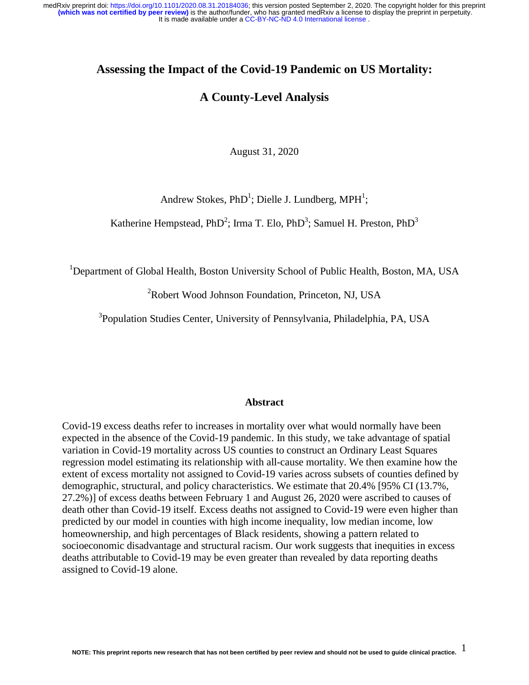## **Assessing the Impact of the Covid-19 Pandemic on US Mortality:**

# **A County-Level Analysis**

August 31, 2020

Andrew Stokes,  $PhD<sup>1</sup>$ ; Dielle J. Lundberg, MPH<sup>1</sup>;

Katherine Hempstead, PhD<sup>2</sup>; Irma T. Elo, PhD<sup>3</sup>; Samuel H. Preston, PhD<sup>3</sup>

<sup>1</sup>Department of Global Health, Boston University School of Public Health, Boston, MA, USA

<sup>2</sup>Robert Wood Johnson Foundation, Princeton, NJ, USA

<sup>3</sup>Population Studies Center, University of Pennsylvania, Philadelphia, PA, USA

#### **Abstract**

Covid-19 excess deaths refer to increases in mortality over what would normally have been expected in the absence of the Covid-19 pandemic. In this study, we take advantage of spatial variation in Covid-19 mortality across US counties to construct an Ordinary Least Squares regression model estimating its relationship with all-cause mortality. We then examine how the extent of excess mortality not assigned to Covid-19 varies across subsets of counties defined by demographic, structural, and policy characteristics. We estimate that 20.4% [95% CI (13.7%, 27.2%)] of excess deaths between February 1 and August 26, 2020 were ascribed to causes of death other than Covid-19 itself. Excess deaths not assigned to Covid-19 were even higher than predicted by our model in counties with high income inequality, low median income, low homeownership, and high percentages of Black residents, showing a pattern related to socioeconomic disadvantage and structural racism. Our work suggests that inequities in excess deaths attributable to Covid-19 may be even greater than revealed by data reporting deaths assigned to Covid-19 alone.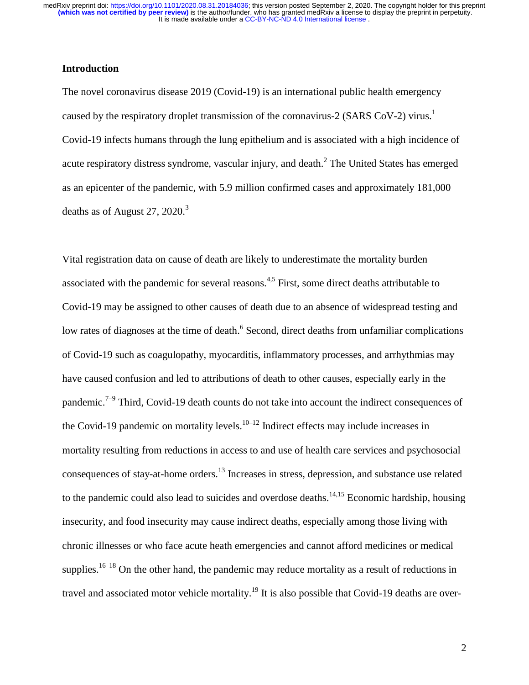## **Introduction**

The novel coronavirus disease 2019 (Covid-19) is an international public health emergency caused by the respiratory droplet transmission of the coronavirus-2 (SARS CoV-2) virus.<sup>1</sup> Covid-19 infects humans through the lung epithelium and is associated with a high incidence of acute respiratory distress syndrome, vascular injury, and death.<sup>2</sup> The United States has emerged as an epicenter of the pandemic, with 5.9 million confirmed cases and approximately 181,000 deaths as of August 27, 2020. $3$ 

Vital registration data on cause of death are likely to underestimate the mortality burden associated with the pandemic for several reasons.<sup>4,5</sup> First, some direct deaths attributable to Covid-19 may be assigned to other causes of death due to an absence of widespread testing and low rates of diagnoses at the time of death.<sup>6</sup> Second, direct deaths from unfamiliar complications of Covid-19 such as coagulopathy, myocarditis, inflammatory processes, and arrhythmias may have caused confusion and led to attributions of death to other causes, especially early in the pandemic.<sup> $7-9$ </sup> Third, Covid-19 death counts do not take into account the indirect consequences of the Covid-19 pandemic on mortality levels.<sup>10–12</sup> Indirect effects may include increases in mortality resulting from reductions in access to and use of health care services and psychosocial consequences of stay-at-home orders.13 Increases in stress, depression, and substance use related to the pandemic could also lead to suicides and overdose deaths.<sup>14,15</sup> Economic hardship, housing insecurity, and food insecurity may cause indirect deaths, especially among those living with chronic illnesses or who face acute heath emergencies and cannot afford medicines or medical supplies.<sup>16–18</sup> On the other hand, the pandemic may reduce mortality as a result of reductions in travel and associated motor vehicle mortality.<sup>19</sup> It is also possible that Covid-19 deaths are over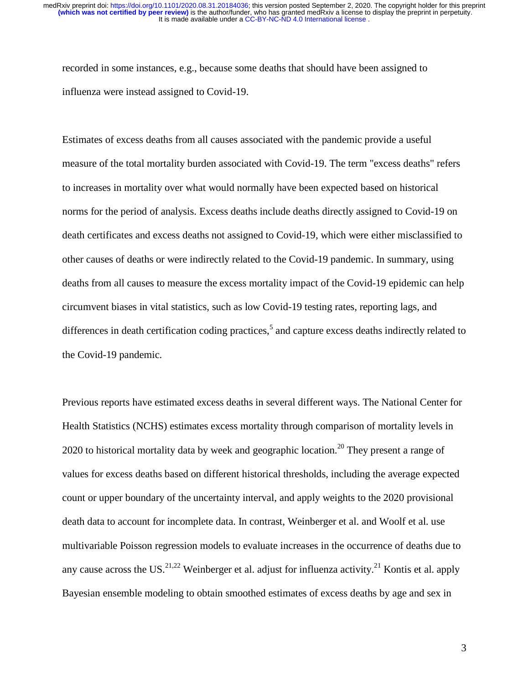recorded in some instances, e.g., because some deaths that should have been assigned to influenza were instead assigned to Covid-19.

Estimates of excess deaths from all causes associated with the pandemic provide a useful measure of the total mortality burden associated with Covid-19. The term "excess deaths" refers to increases in mortality over what would normally have been expected based on historical norms for the period of analysis. Excess deaths include deaths directly assigned to Covid-19 on death certificates and excess deaths not assigned to Covid-19, which were either misclassified to other causes of deaths or were indirectly related to the Covid-19 pandemic. In summary, using deaths from all causes to measure the excess mortality impact of the Covid-19 epidemic can help circumvent biases in vital statistics, such as low Covid-19 testing rates, reporting lags, and differences in death certification coding practices,<sup>5</sup> and capture excess deaths indirectly related to the Covid-19 pandemic.

Previous reports have estimated excess deaths in several different ways. The National Center for Health Statistics (NCHS) estimates excess mortality through comparison of mortality levels in 2020 to historical mortality data by week and geographic location.<sup>20</sup> They present a range of values for excess deaths based on different historical thresholds, including the average expected count or upper boundary of the uncertainty interval, and apply weights to the 2020 provisional death data to account for incomplete data. In contrast, Weinberger et al. and Woolf et al. use multivariable Poisson regression models to evaluate increases in the occurrence of deaths due to any cause across the US.<sup>21,22</sup> Weinberger et al. adjust for influenza activity.<sup>21</sup> Kontis et al. apply Bayesian ensemble modeling to obtain smoothed estimates of excess deaths by age and sex in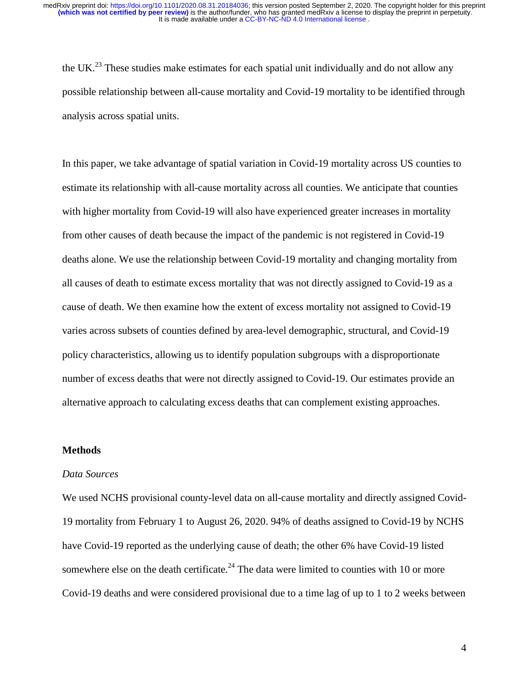the UK.<sup>23</sup> These studies make estimates for each spatial unit individually and do not allow any possible relationship between all-cause mortality and Covid-19 mortality to be identified through analysis across spatial units.

In this paper, we take advantage of spatial variation in Covid-19 mortality across US counties to estimate its relationship with all-cause mortality across all counties. We anticipate that counties with higher mortality from Covid-19 will also have experienced greater increases in mortality from other causes of death because the impact of the pandemic is not registered in Covid-19 deaths alone. We use the relationship between Covid-19 mortality and changing mortality from all causes of death to estimate excess mortality that was not directly assigned to Covid-19 as a cause of death. We then examine how the extent of excess mortality not assigned to Covid-19 varies across subsets of counties defined by area-level demographic, structural, and Covid-19 policy characteristics, allowing us to identify population subgroups with a disproportionate number of excess deaths that were not directly assigned to Covid-19. Our estimates provide an alternative approach to calculating excess deaths that can complement existing approaches.

#### **Methods**

### *Data Sources*

We used NCHS provisional county-level data on all-cause mortality and directly assigned Covid-19 mortality from February 1 to August 26, 2020. 94% of deaths assigned to Covid-19 by NCHS have Covid-19 reported as the underlying cause of death; the other 6% have Covid-19 listed somewhere else on the death certificate.<sup>24</sup> The data were limited to counties with 10 or more Covid-19 deaths and were considered provisional due to a time lag of up to 1 to 2 weeks between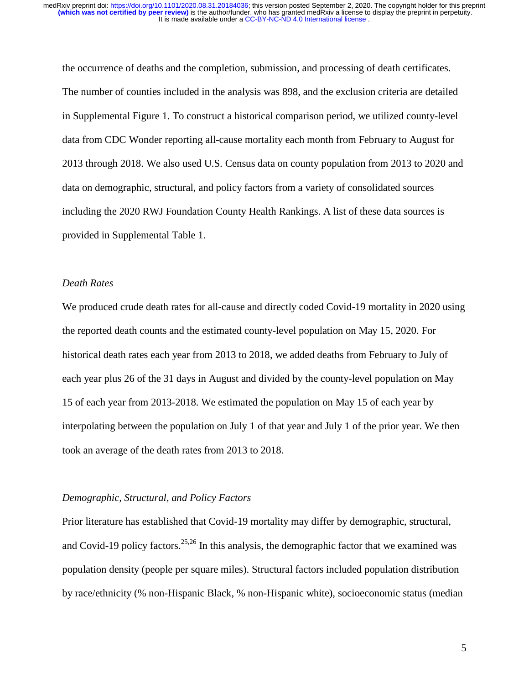the occurrence of deaths and the completion, submission, and processing of death certificates. The number of counties included in the analysis was 898, and the exclusion criteria are detailed in Supplemental Figure 1. To construct a historical comparison period, we utilized county-level data from CDC Wonder reporting all-cause mortality each month from February to August for 2013 through 2018. We also used U.S. Census data on county population from 2013 to 2020 and data on demographic, structural, and policy factors from a variety of consolidated sources including the 2020 RWJ Foundation County Health Rankings. A list of these data sources is provided in Supplemental Table 1.

### *Death Rates*

We produced crude death rates for all-cause and directly coded Covid-19 mortality in 2020 using the reported death counts and the estimated county-level population on May 15, 2020. For historical death rates each year from 2013 to 2018, we added deaths from February to July of each year plus 26 of the 31 days in August and divided by the county-level population on May 15 of each year from 2013-2018. We estimated the population on May 15 of each year by interpolating between the population on July 1 of that year and July 1 of the prior year. We then took an average of the death rates from 2013 to 2018.

#### *Demographic, Structural, and Policy Factors*

Prior literature has established that Covid-19 mortality may differ by demographic, structural, and Covid-19 policy factors.<sup>25,26</sup> In this analysis, the demographic factor that we examined was population density (people per square miles). Structural factors included population distribution by race/ethnicity (% non-Hispanic Black, % non-Hispanic white), socioeconomic status (median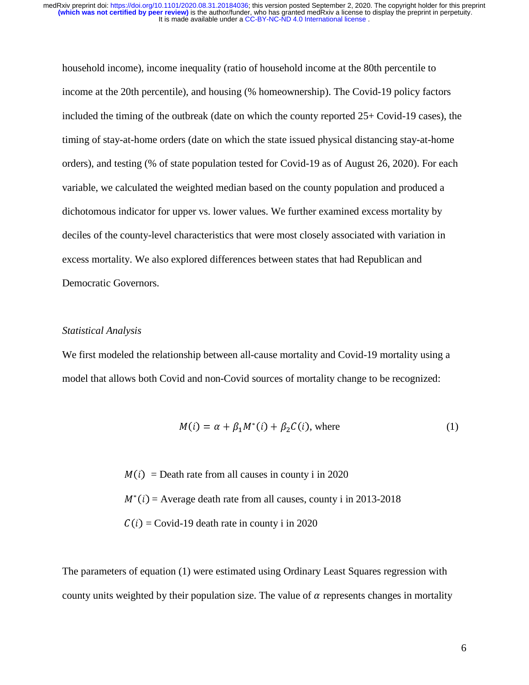household income), income inequality (ratio of household income at the 80th percentile to income at the 20th percentile), and housing (% homeownership). The Covid-19 policy factors included the timing of the outbreak (date on which the county reported 25+ Covid-19 cases), the timing of stay-at-home orders (date on which the state issued physical distancing stay-at-home orders), and testing (% of state population tested for Covid-19 as of August 26, 2020). For each variable, we calculated the weighted median based on the county population and produced a dichotomous indicator for upper vs. lower values. We further examined excess mortality by deciles of the county-level characteristics that were most closely associated with variation in excess mortality. We also explored differences between states that had Republican and Democratic Governors.

#### *Statistical Analysis*

We first modeled the relationship between all-cause mortality and Covid-19 mortality using a model that allows both Covid and non-Covid sources of mortality change to be recognized:

$$
M(i) = \alpha + \beta_1 M^*(i) + \beta_2 C(i), \text{ where } (1)
$$

 $M(i)$  = Death rate from all causes in county i in 2020  $M^*(i)$  = Average death rate from all causes, county i in 2013-2018  $C(i)$  = Covid-19 death rate in county i in 2020

The parameters of equation (1) were estimated using Ordinary Least Squares regression with county units weighted by their population size. The value of  $\alpha$  represents changes in mortality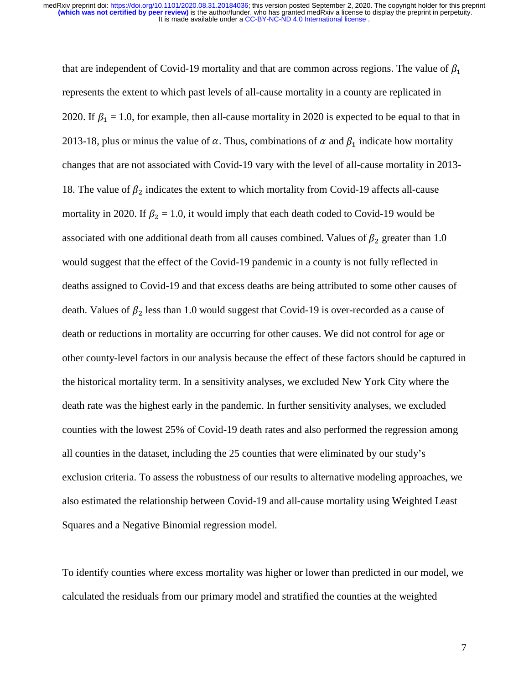that are independent of Covid-19 mortality and that are common across regions. The value of  $\beta_1$ represents the extent to which past levels of all-cause mortality in a county are replicated in 2020. If  $\beta_1 = 1.0$ , for example, then all-cause mortality in 2020 is expected to be equal to that in 2013-18, plus or minus the value of  $\alpha$ . Thus, combinations of  $\alpha$  and  $\beta_1$  indicate how mortality changes that are not associated with Covid-19 vary with the level of all-cause mortality in 2013- 18. The value of  $\beta_2$  indicates the extent to which mortality from Covid-19 affects all-cause mortality in 2020. If  $\beta_2 = 1.0$ , it would imply that each death coded to Covid-19 would be associated with one additional death from all causes combined. Values of  $\beta_2$  greater than 1.0 would suggest that the effect of the Covid-19 pandemic in a county is not fully reflected in deaths assigned to Covid-19 and that excess deaths are being attributed to some other causes of death. Values of  $\beta_2$  less than 1.0 would suggest that Covid-19 is over-recorded as a cause of death or reductions in mortality are occurring for other causes. We did not control for age or other county-level factors in our analysis because the effect of these factors should be captured in the historical mortality term. In a sensitivity analyses, we excluded New York City where the death rate was the highest early in the pandemic. In further sensitivity analyses, we excluded counties with the lowest 25% of Covid-19 death rates and also performed the regression among all counties in the dataset, including the 25 counties that were eliminated by our study's exclusion criteria. To assess the robustness of our results to alternative modeling approaches, we also estimated the relationship between Covid-19 and all-cause mortality using Weighted Least Squares and a Negative Binomial regression model.

To identify counties where excess mortality was higher or lower than predicted in our model, we calculated the residuals from our primary model and stratified the counties at the weighted

7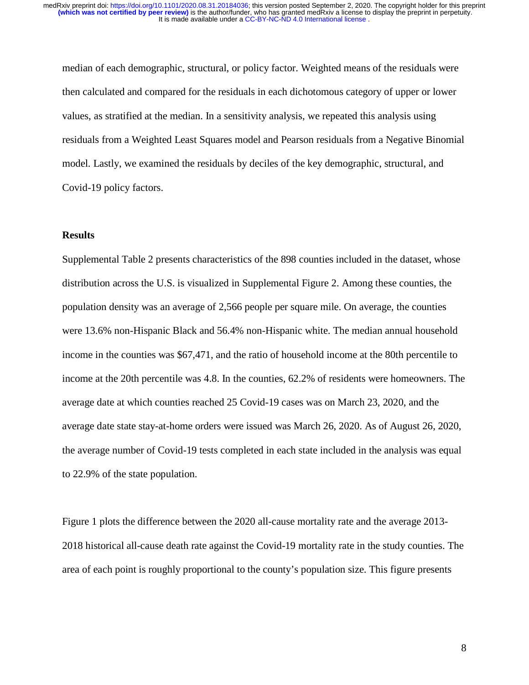median of each demographic, structural, or policy factor. Weighted means of the residuals were then calculated and compared for the residuals in each dichotomous category of upper or lower values, as stratified at the median. In a sensitivity analysis, we repeated this analysis using residuals from a Weighted Least Squares model and Pearson residuals from a Negative Binomial model. Lastly, we examined the residuals by deciles of the key demographic, structural, and Covid-19 policy factors.

### **Results**

Supplemental Table 2 presents characteristics of the 898 counties included in the dataset, whose distribution across the U.S. is visualized in Supplemental Figure 2. Among these counties, the population density was an average of 2,566 people per square mile. On average, the counties were 13.6% non-Hispanic Black and 56.4% non-Hispanic white. The median annual household income in the counties was \$67,471, and the ratio of household income at the 80th percentile to income at the 20th percentile was 4.8. In the counties, 62.2% of residents were homeowners. The average date at which counties reached 25 Covid-19 cases was on March 23, 2020, and the average date state stay-at-home orders were issued was March 26, 2020. As of August 26, 2020, the average number of Covid-19 tests completed in each state included in the analysis was equal to 22.9% of the state population.

Figure 1 plots the difference between the 2020 all-cause mortality rate and the average 2013- 2018 historical all-cause death rate against the Covid-19 mortality rate in the study counties. The area of each point is roughly proportional to the county's population size. This figure presents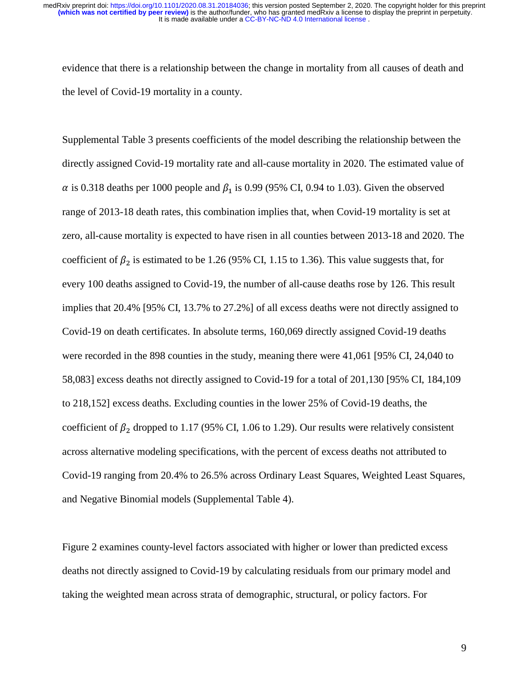evidence that there is a relationship between the change in mortality from all causes of death and the level of Covid-19 mortality in a county.

Supplemental Table 3 presents coefficients of the model describing the relationship between the directly assigned Covid-19 mortality rate and all-cause mortality in 2020. The estimated value of  $\alpha$  is 0.318 deaths per 1000 people and  $\beta_1$  is 0.99 (95% CI, 0.94 to 1.03). Given the observed range of 2013-18 death rates, this combination implies that, when Covid-19 mortality is set at zero, all-cause mortality is expected to have risen in all counties between 2013-18 and 2020. The coefficient of  $\beta_2$  is estimated to be 1.26 (95% CI, 1.15 to 1.36). This value suggests that, for every 100 deaths assigned to Covid-19, the number of all-cause deaths rose by 126. This result implies that 20.4% [95% CI, 13.7% to 27.2%] of all excess deaths were not directly assigned to Covid-19 on death certificates. In absolute terms, 160,069 directly assigned Covid-19 deaths were recorded in the 898 counties in the study, meaning there were 41,061 [95% CI, 24,040 to 58,083] excess deaths not directly assigned to Covid-19 for a total of 201,130 [95% CI, 184,109 to 218,152] excess deaths. Excluding counties in the lower 25% of Covid-19 deaths, the coefficient of  $\beta_2$  dropped to 1.17 (95% CI, 1.06 to 1.29). Our results were relatively consistent across alternative modeling specifications, with the percent of excess deaths not attributed to Covid-19 ranging from 20.4% to 26.5% across Ordinary Least Squares, Weighted Least Squares, and Negative Binomial models (Supplemental Table 4).

Figure 2 examines county-level factors associated with higher or lower than predicted excess deaths not directly assigned to Covid-19 by calculating residuals from our primary model and taking the weighted mean across strata of demographic, structural, or policy factors. For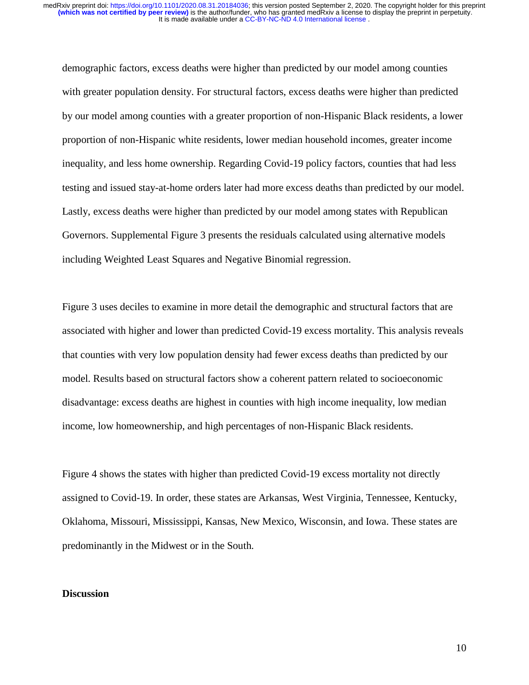demographic factors, excess deaths were higher than predicted by our model among counties with greater population density. For structural factors, excess deaths were higher than predicted by our model among counties with a greater proportion of non-Hispanic Black residents, a lower proportion of non-Hispanic white residents, lower median household incomes, greater income inequality, and less home ownership. Regarding Covid-19 policy factors, counties that had less testing and issued stay-at-home orders later had more excess deaths than predicted by our model. Lastly, excess deaths were higher than predicted by our model among states with Republican Governors. Supplemental Figure 3 presents the residuals calculated using alternative models including Weighted Least Squares and Negative Binomial regression.

Figure 3 uses deciles to examine in more detail the demographic and structural factors that are associated with higher and lower than predicted Covid-19 excess mortality. This analysis reveals that counties with very low population density had fewer excess deaths than predicted by our model. Results based on structural factors show a coherent pattern related to socioeconomic disadvantage: excess deaths are highest in counties with high income inequality, low median income, low homeownership, and high percentages of non-Hispanic Black residents.

Figure 4 shows the states with higher than predicted Covid-19 excess mortality not directly assigned to Covid-19. In order, these states are Arkansas, West Virginia, Tennessee, Kentucky, Oklahoma, Missouri, Mississippi, Kansas, New Mexico, Wisconsin, and Iowa. These states are predominantly in the Midwest or in the South.

#### **Discussion**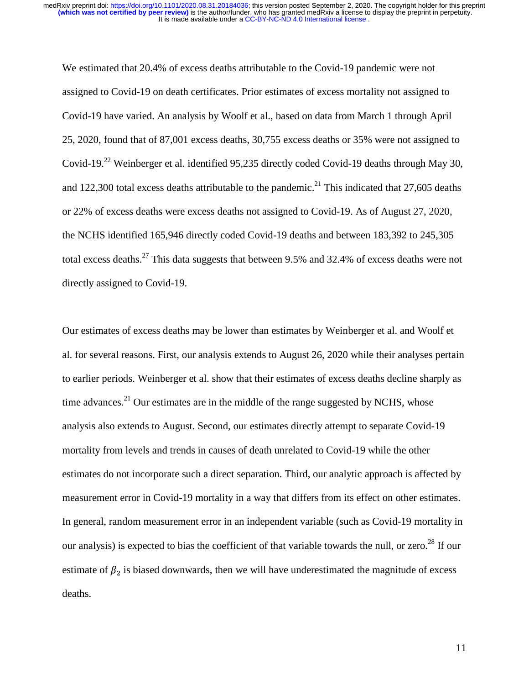We estimated that 20.4% of excess deaths attributable to the Covid-19 pandemic were not assigned to Covid-19 on death certificates. Prior estimates of excess mortality not assigned to Covid-19 have varied. An analysis by Woolf et al., based on data from March 1 through April 25, 2020, found that of 87,001 excess deaths, 30,755 excess deaths or 35% were not assigned to Covid-19.22 Weinberger et al. identified 95,235 directly coded Covid-19 deaths through May 30, and 122,300 total excess deaths attributable to the pandemic.<sup>21</sup> This indicated that 27,605 deaths or 22% of excess deaths were excess deaths not assigned to Covid-19. As of August 27, 2020, the NCHS identified 165,946 directly coded Covid-19 deaths and between 183,392 to 245,305 total excess deaths.<sup>27</sup> This data suggests that between 9.5% and 32.4% of excess deaths were not directly assigned to Covid-19.

Our estimates of excess deaths may be lower than estimates by Weinberger et al. and Woolf et al. for several reasons. First, our analysis extends to August 26, 2020 while their analyses pertain to earlier periods. Weinberger et al. show that their estimates of excess deaths decline sharply as time advances. $21$  Our estimates are in the middle of the range suggested by NCHS, whose analysis also extends to August. Second, our estimates directly attempt to separate Covid-19 mortality from levels and trends in causes of death unrelated to Covid-19 while the other estimates do not incorporate such a direct separation. Third, our analytic approach is affected by measurement error in Covid-19 mortality in a way that differs from its effect on other estimates. In general, random measurement error in an independent variable (such as Covid-19 mortality in our analysis) is expected to bias the coefficient of that variable towards the null, or zero.<sup>28</sup> If our estimate of  $\beta_2$  is biased downwards, then we will have underestimated the magnitude of excess deaths.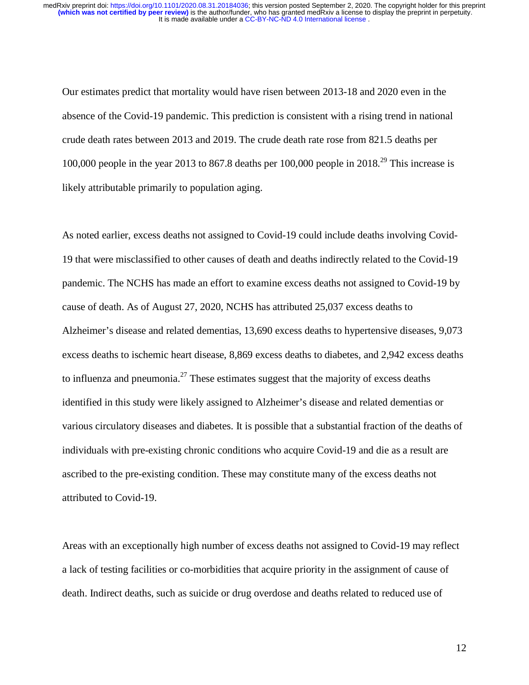Our estimates predict that mortality would have risen between 2013-18 and 2020 even in the absence of the Covid-19 pandemic. This prediction is consistent with a rising trend in national crude death rates between 2013 and 2019. The crude death rate rose from 821.5 deaths per 100,000 people in the year 2013 to 867.8 deaths per 100,000 people in 2018.<sup>29</sup> This increase is likely attributable primarily to population aging.

As noted earlier, excess deaths not assigned to Covid-19 could include deaths involving Covid-19 that were misclassified to other causes of death and deaths indirectly related to the Covid-19 pandemic. The NCHS has made an effort to examine excess deaths not assigned to Covid-19 by cause of death. As of August 27, 2020, NCHS has attributed 25,037 excess deaths to Alzheimer's disease and related dementias, 13,690 excess deaths to hypertensive diseases, 9,073 excess deaths to ischemic heart disease, 8,869 excess deaths to diabetes, and 2,942 excess deaths to influenza and pneumonia.<sup>27</sup> These estimates suggest that the majority of excess deaths identified in this study were likely assigned to Alzheimer's disease and related dementias or various circulatory diseases and diabetes. It is possible that a substantial fraction of the deaths of individuals with pre-existing chronic conditions who acquire Covid-19 and die as a result are ascribed to the pre-existing condition. These may constitute many of the excess deaths not attributed to Covid-19.

Areas with an exceptionally high number of excess deaths not assigned to Covid-19 may reflect a lack of testing facilities or co-morbidities that acquire priority in the assignment of cause of death. Indirect deaths, such as suicide or drug overdose and deaths related to reduced use of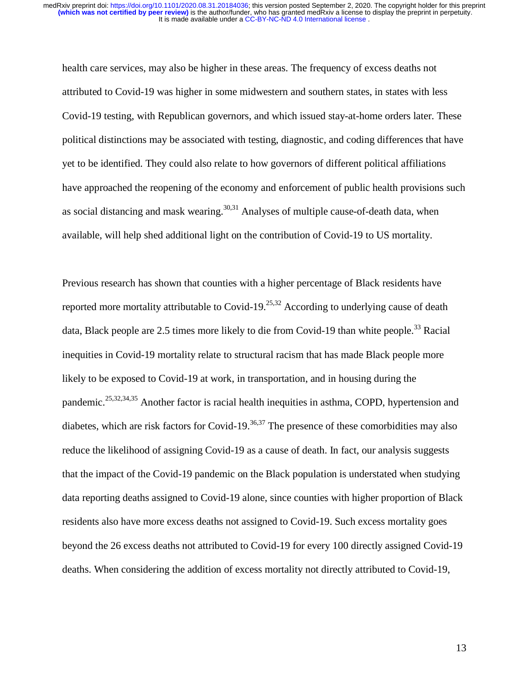health care services, may also be higher in these areas. The frequency of excess deaths not attributed to Covid-19 was higher in some midwestern and southern states, in states with less Covid-19 testing, with Republican governors, and which issued stay-at-home orders later. These political distinctions may be associated with testing, diagnostic, and coding differences that have yet to be identified. They could also relate to how governors of different political affiliations have approached the reopening of the economy and enforcement of public health provisions such as social distancing and mask wearing. $30,31$  Analyses of multiple cause-of-death data, when available, will help shed additional light on the contribution of Covid-19 to US mortality.

Previous research has shown that counties with a higher percentage of Black residents have reported more mortality attributable to Covid-19.<sup>25,32</sup> According to underlying cause of death data, Black people are 2.5 times more likely to die from Covid-19 than white people.<sup>33</sup> Racial inequities in Covid-19 mortality relate to structural racism that has made Black people more likely to be exposed to Covid-19 at work, in transportation, and in housing during the pandemic.<sup>25,32,34,35</sup> Another factor is racial health inequities in asthma, COPD, hypertension and diabetes, which are risk factors for Covid-19.<sup>36,37</sup> The presence of these comorbidities may also reduce the likelihood of assigning Covid-19 as a cause of death. In fact, our analysis suggests that the impact of the Covid-19 pandemic on the Black population is understated when studying data reporting deaths assigned to Covid-19 alone, since counties with higher proportion of Black residents also have more excess deaths not assigned to Covid-19. Such excess mortality goes beyond the 26 excess deaths not attributed to Covid-19 for every 100 directly assigned Covid-19 deaths. When considering the addition of excess mortality not directly attributed to Covid-19,

13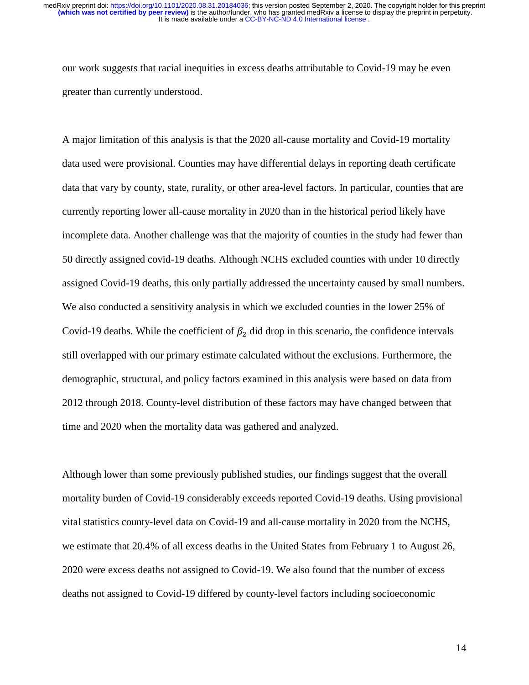our work suggests that racial inequities in excess deaths attributable to Covid-19 may be even greater than currently understood.

A major limitation of this analysis is that the 2020 all-cause mortality and Covid-19 mortality data used were provisional. Counties may have differential delays in reporting death certificate data that vary by county, state, rurality, or other area-level factors. In particular, counties that are currently reporting lower all-cause mortality in 2020 than in the historical period likely have incomplete data. Another challenge was that the majority of counties in the study had fewer than 50 directly assigned covid-19 deaths. Although NCHS excluded counties with under 10 directly assigned Covid-19 deaths, this only partially addressed the uncertainty caused by small numbers. We also conducted a sensitivity analysis in which we excluded counties in the lower 25% of Covid-19 deaths. While the coefficient of  $\beta_2$  did drop in this scenario, the confidence intervals still overlapped with our primary estimate calculated without the exclusions. Furthermore, the demographic, structural, and policy factors examined in this analysis were based on data from 2012 through 2018. County-level distribution of these factors may have changed between that time and 2020 when the mortality data was gathered and analyzed.

Although lower than some previously published studies, our findings suggest that the overall mortality burden of Covid-19 considerably exceeds reported Covid-19 deaths. Using provisional vital statistics county-level data on Covid-19 and all-cause mortality in 2020 from the NCHS, we estimate that 20.4% of all excess deaths in the United States from February 1 to August 26, 2020 were excess deaths not assigned to Covid-19. We also found that the number of excess deaths not assigned to Covid-19 differed by county-level factors including socioeconomic

14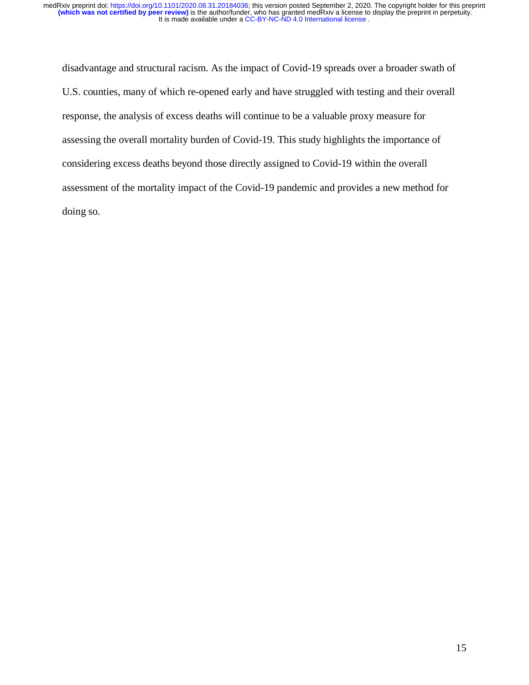disadvantage and structural racism. As the impact of Covid-19 spreads over a broader swath of U.S. counties, many of which re-opened early and have struggled with testing and their overall response, the analysis of excess deaths will continue to be a valuable proxy measure for assessing the overall mortality burden of Covid-19. This study highlights the importance of considering excess deaths beyond those directly assigned to Covid-19 within the overall assessment of the mortality impact of the Covid-19 pandemic and provides a new method for doing so.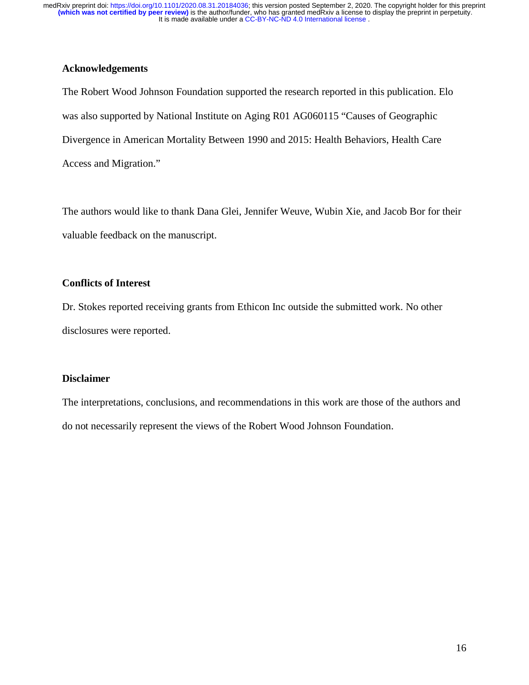## **Acknowledgements**

The Robert Wood Johnson Foundation supported the research reported in this publication. Elo was also supported by National Institute on Aging R01 AG060115 "Causes of Geographic Divergence in American Mortality Between 1990 and 2015: Health Behaviors, Health Care Access and Migration."

The authors would like to thank Dana Glei, Jennifer Weuve, Wubin Xie, and Jacob Bor for their valuable feedback on the manuscript.

## **Conflicts of Interest**

Dr. Stokes reported receiving grants from Ethicon Inc outside the submitted work. No other disclosures were reported.

### **Disclaimer**

The interpretations, conclusions, and recommendations in this work are those of the authors and do not necessarily represent the views of the Robert Wood Johnson Foundation.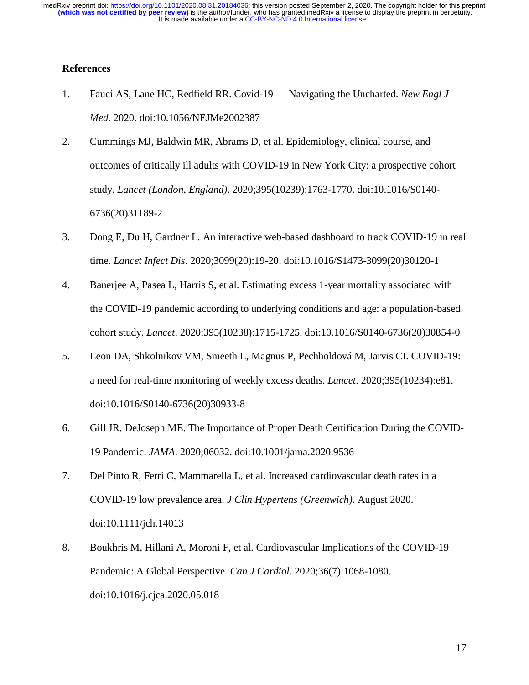### **References**

- 1. Fauci AS, Lane HC, Redfield RR. Covid-19 Navigating the Uncharted. *New Engl J Med*. 2020. doi:10.1056/NEJMe2002387
- 2. Cummings MJ, Baldwin MR, Abrams D, et al. Epidemiology, clinical course, and outcomes of critically ill adults with COVID-19 in New York City: a prospective cohort study. *Lancet (London, England)*. 2020;395(10239):1763-1770. doi:10.1016/S0140- 6736(20)31189-2
- 3. Dong E, Du H, Gardner L. An interactive web-based dashboard to track COVID-19 in real time. *Lancet Infect Dis*. 2020;3099(20):19-20. doi:10.1016/S1473-3099(20)30120-1
- 4. Banerjee A, Pasea L, Harris S, et al. Estimating excess 1-year mortality associated with the COVID-19 pandemic according to underlying conditions and age: a population-based cohort study. *Lancet*. 2020;395(10238):1715-1725. doi:10.1016/S0140-6736(20)30854-0
- 5. Leon DA, Shkolnikov VM, Smeeth L, Magnus P, Pechholdová M, Jarvis CI. COVID-19: a need for real-time monitoring of weekly excess deaths. *Lancet*. 2020;395(10234):e81. doi:10.1016/S0140-6736(20)30933-8
- 6. Gill JR, DeJoseph ME. The Importance of Proper Death Certification During the COVID-19 Pandemic. *JAMA*. 2020;06032. doi:10.1001/jama.2020.9536
- 7. Del Pinto R, Ferri C, Mammarella L, et al. Increased cardiovascular death rates in a COVID-19 low prevalence area. *J Clin Hypertens (Greenwich)*. August 2020. doi:10.1111/jch.14013
- 8. Boukhris M, Hillani A, Moroni F, et al. Cardiovascular Implications of the COVID-19 Pandemic: A Global Perspective. *Can J Cardiol*. 2020;36(7):1068-1080. doi:10.1016/j.cjca.2020.05.018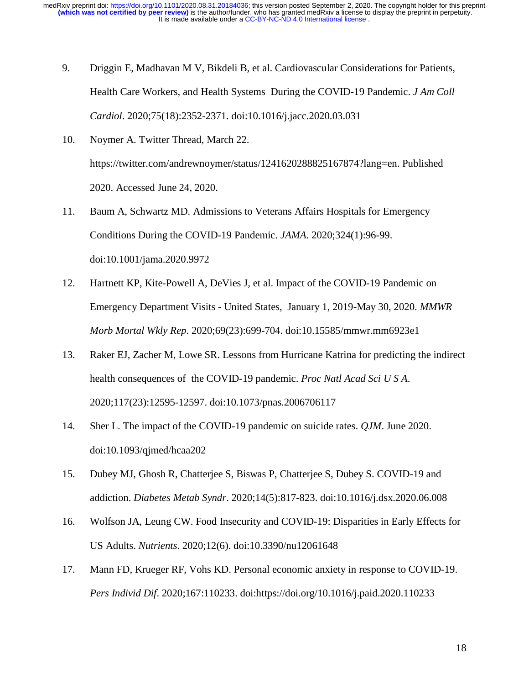- 9. Driggin E, Madhavan M V, Bikdeli B, et al. Cardiovascular Considerations for Patients, Health Care Workers, and Health Systems During the COVID-19 Pandemic. *J Am Coll Cardiol*. 2020;75(18):2352-2371. doi:10.1016/j.jacc.2020.03.031
- 10. Noymer A. Twitter Thread, March 22. https://twitter.com/andrewnoymer/status/1241620288825167874?lang=en. Published 2020. Accessed June 24, 2020.
- 11. Baum A, Schwartz MD. Admissions to Veterans Affairs Hospitals for Emergency Conditions During the COVID-19 Pandemic. *JAMA*. 2020;324(1):96-99. doi:10.1001/jama.2020.9972
- 12. Hartnett KP, Kite-Powell A, DeVies J, et al. Impact of the COVID-19 Pandemic on Emergency Department Visits - United States, January 1, 2019-May 30, 2020. *MMWR Morb Mortal Wkly Rep*. 2020;69(23):699-704. doi:10.15585/mmwr.mm6923e1
- 13. Raker EJ, Zacher M, Lowe SR. Lessons from Hurricane Katrina for predicting the indirect health consequences of the COVID-19 pandemic. *Proc Natl Acad Sci U S A*. 2020;117(23):12595-12597. doi:10.1073/pnas.2006706117
- 14. Sher L. The impact of the COVID-19 pandemic on suicide rates. *QJM*. June 2020. doi:10.1093/qjmed/hcaa202
- 15. Dubey MJ, Ghosh R, Chatterjee S, Biswas P, Chatterjee S, Dubey S. COVID-19 and addiction. *Diabetes Metab Syndr*. 2020;14(5):817-823. doi:10.1016/j.dsx.2020.06.008
- 16. Wolfson JA, Leung CW. Food Insecurity and COVID-19: Disparities in Early Effects for US Adults. *Nutrients*. 2020;12(6). doi:10.3390/nu12061648
- 17. Mann FD, Krueger RF, Vohs KD. Personal economic anxiety in response to COVID-19. *Pers Individ Dif*. 2020;167:110233. doi:https://doi.org/10.1016/j.paid.2020.110233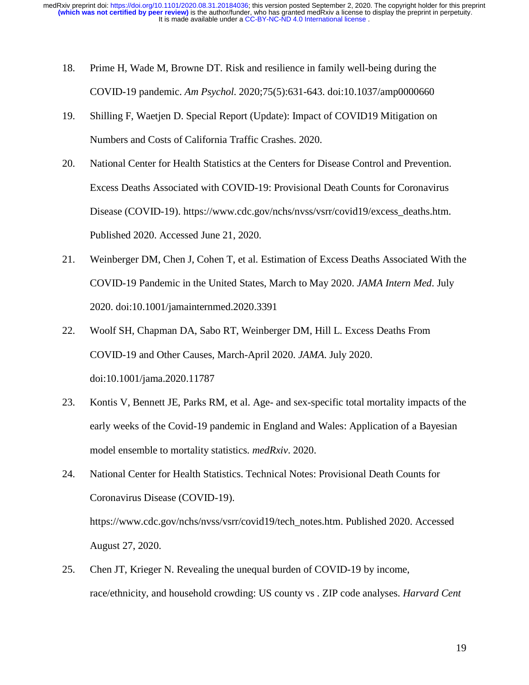- 18. Prime H, Wade M, Browne DT. Risk and resilience in family well-being during the COVID-19 pandemic. *Am Psychol*. 2020;75(5):631-643. doi:10.1037/amp0000660
- 19. Shilling F, Waetjen D. Special Report (Update): Impact of COVID19 Mitigation on Numbers and Costs of California Traffic Crashes. 2020.
- 20. National Center for Health Statistics at the Centers for Disease Control and Prevention. Excess Deaths Associated with COVID-19: Provisional Death Counts for Coronavirus Disease (COVID-19). https://www.cdc.gov/nchs/nvss/vsrr/covid19/excess\_deaths.htm. Published 2020. Accessed June 21, 2020.
- 21. Weinberger DM, Chen J, Cohen T, et al. Estimation of Excess Deaths Associated With the COVID-19 Pandemic in the United States, March to May 2020. *JAMA Intern Med*. July 2020. doi:10.1001/jamainternmed.2020.3391
- 22. Woolf SH, Chapman DA, Sabo RT, Weinberger DM, Hill L. Excess Deaths From COVID-19 and Other Causes, March-April 2020. *JAMA*. July 2020. doi:10.1001/jama.2020.11787
- 23. Kontis V, Bennett JE, Parks RM, et al. Age- and sex-specific total mortality impacts of the early weeks of the Covid-19 pandemic in England and Wales: Application of a Bayesian model ensemble to mortality statistics. *medRxiv*. 2020.
- 24. National Center for Health Statistics. Technical Notes: Provisional Death Counts for Coronavirus Disease (COVID-19). https://www.cdc.gov/nchs/nvss/vsrr/covid19/tech\_notes.htm. Published 2020. Accessed August 27, 2020.
- 25. Chen JT, Krieger N. Revealing the unequal burden of COVID-19 by income, race/ethnicity, and household crowding: US county vs . ZIP code analyses. *Harvard Cent*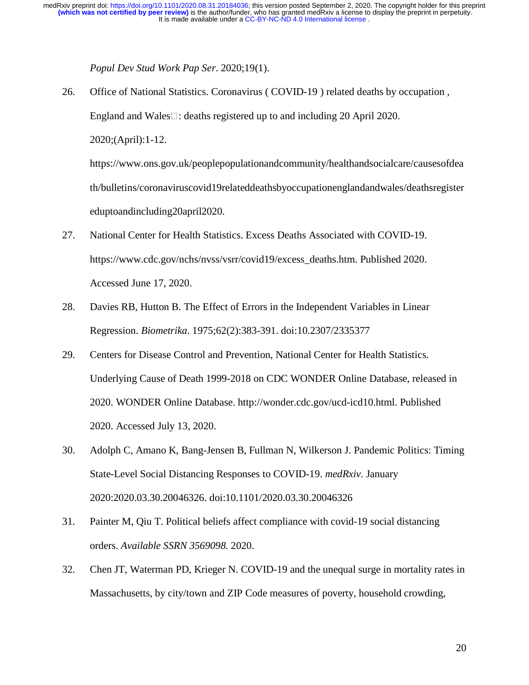*Popul Dev Stud Work Pap Ser*. 2020;19(1).

26. Office of National Statistics. Coronavirus ( COVID-19 ) related deaths by occupation , England and Wales $\Box$ : deaths registered up to and including 20 April 2020. 2020;(April):1-12. https://www.ons.gov.uk/peoplepopulationandcommunity/healthandsocialcare/causesofdea

th/bulletins/coronaviruscovid19relateddeathsbyoccupationenglandandwales/deathsregister eduptoandincluding20april2020.

- 27. National Center for Health Statistics. Excess Deaths Associated with COVID-19. https://www.cdc.gov/nchs/nvss/vsrr/covid19/excess\_deaths.htm. Published 2020. Accessed June 17, 2020.
- 28. Davies RB, Hutton B. The Effect of Errors in the Independent Variables in Linear Regression. *Biometrika*. 1975;62(2):383-391. doi:10.2307/2335377
- 29. Centers for Disease Control and Prevention, National Center for Health Statistics. Underlying Cause of Death 1999-2018 on CDC WONDER Online Database, released in 2020. WONDER Online Database. http://wonder.cdc.gov/ucd-icd10.html. Published 2020. Accessed July 13, 2020.
- 30. Adolph C, Amano K, Bang-Jensen B, Fullman N, Wilkerson J. Pandemic Politics: Timing State-Level Social Distancing Responses to COVID-19. *medRxiv*. January 2020:2020.03.30.20046326. doi:10.1101/2020.03.30.20046326
- 31. Painter M, Qiu T. Political beliefs affect compliance with covid-19 social distancing orders. *Available SSRN 3569098*. 2020.
- 32. Chen JT, Waterman PD, Krieger N. COVID-19 and the unequal surge in mortality rates in Massachusetts, by city/town and ZIP Code measures of poverty, household crowding,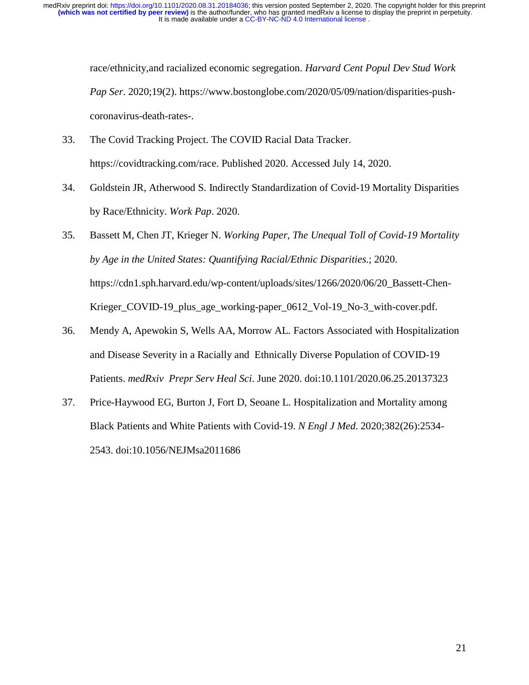race/ethnicity,and racialized economic segregation. *Harvard Cent Popul Dev Stud Work Pap Ser*. 2020;19(2). https://www.bostonglobe.com/2020/05/09/nation/disparities-pushcoronavirus-death-rates-.

- 33. The Covid Tracking Project. The COVID Racial Data Tracker. https://covidtracking.com/race. Published 2020. Accessed July 14, 2020.
- 34. Goldstein JR, Atherwood S. Indirectly Standardization of Covid-19 Mortality Disparities by Race/Ethnicity. *Work Pap*. 2020.
- 35. Bassett M, Chen JT, Krieger N. *Working Paper, The Unequal Toll of Covid-19 Mortality by Age in the United States: Quantifying Racial/Ethnic Disparities*.; 2020. https://cdn1.sph.harvard.edu/wp-content/uploads/sites/1266/2020/06/20\_Bassett-Chen-Krieger\_COVID-19\_plus\_age\_working-paper\_0612\_Vol-19\_No-3\_with-cover.pdf.
- 36. Mendy A, Apewokin S, Wells AA, Morrow AL. Factors Associated with Hospitalization and Disease Severity in a Racially and Ethnically Diverse Population of COVID-19 Patients. *medRxiv Prepr Serv Heal Sci*. June 2020. doi:10.1101/2020.06.25.20137323
- 37. Price-Haywood EG, Burton J, Fort D, Seoane L. Hospitalization and Mortality among Black Patients and White Patients with Covid-19. *N Engl J Med*. 2020;382(26):2534- 2543. doi:10.1056/NEJMsa2011686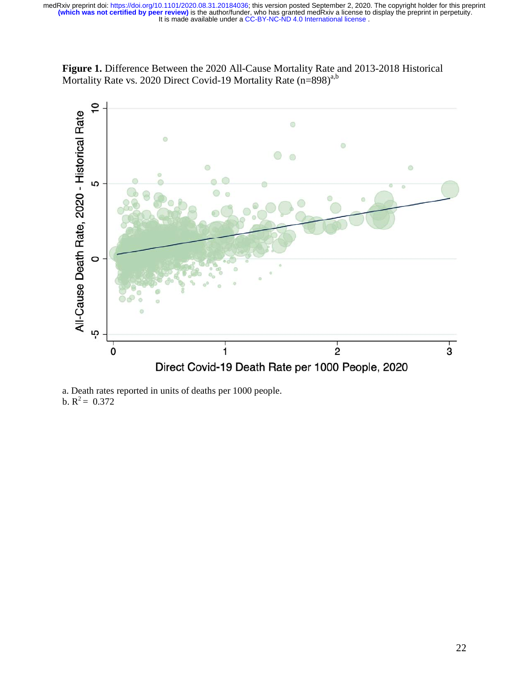



a. Death rates reported in units of deaths per 1000 people. b.  $R^2 = 0.372$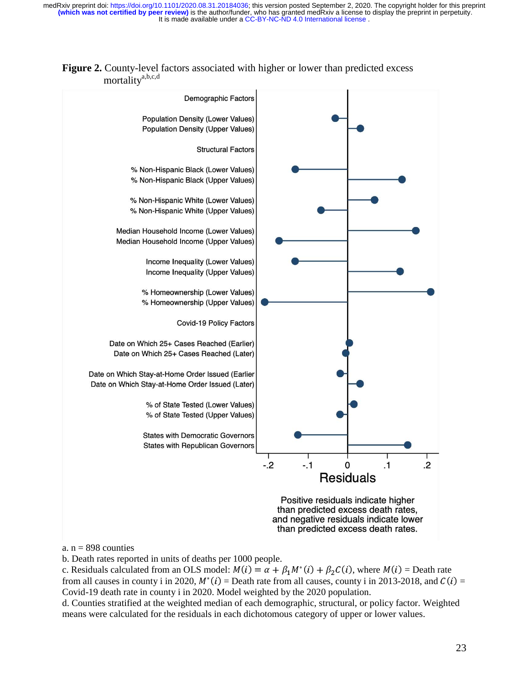

**Figure 2.** County-level factors associated with higher or lower than predicted excess mortalitya,b,c,d

a.  $n = 898$  counties

b. Death rates reported in units of deaths per 1000 people.

c. Residuals calculated from an OLS model:  $M(i) = \alpha + \beta_1 M^*(i) + \beta_2 C(i)$ , where  $M(i) =$  Death rate c. Residuals calculated from an OLS model:  $W(t) = \alpha + p_1W(t) + p_2C(t)$ , where  $W(t) =$  Death rate<br>from all causes in county i in 2020,  $M^*(i) =$  Death rate from all causes, county i in 2013-2018, and  $C(i) =$ <br> $C$  said 10 death at a Covid-19 death rate in county i in 2020. Model weighted by the 2020 population.

d. Counties stratified at the weighted median of each demographic, structural, or policy factor. Weighted means were calculated for the residuals in each dichotomous category of upper or lower values.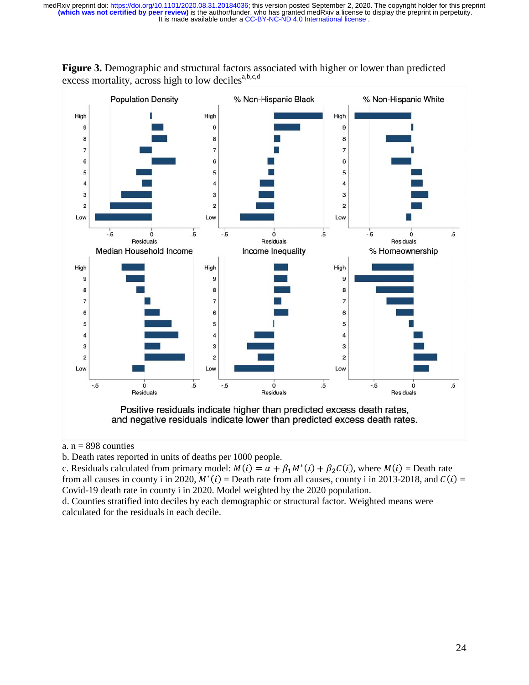

**Figure 3.** Demographic and structural factors associated with higher or lower than predicted excess mortality, across high to low deciles $a,b,c,d$ 

a.  $n = 898$  counties

b. Death rates reported in units of deaths per 1000 people.

c. Residuals calculated from primary model:  $M(i) = \alpha + \beta_1 M^*(i) + \beta_2 C(i)$ , where  $M(i) =$  Death rate c. Residuals calculated from primary model:  $M(t) = \alpha + p_1M(t) + p_2C(t)$ , where  $M(t) =$  Death rate<br>from all causes in county i in 2020,  $M^*(t) =$  Death rate from all causes, county i in 2013-2018, and  $C(t) =$ <br>Could 10 death rate i Covid-19 death rate in county i in 2020. Model weighted by the 2020 population.

d. Counties stratified into deciles by each demographic or structural factor. Weighted means were calculated for the residuals in each decile.